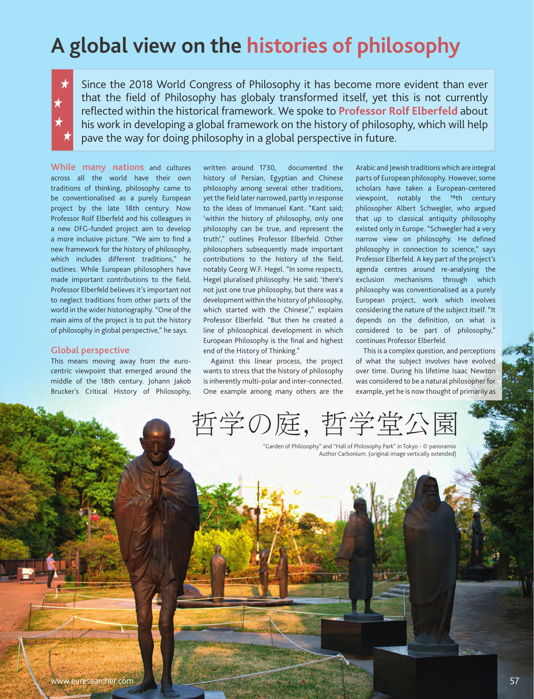# **A global view on the histories of philosophy**

Since the 2018 World Congress of Philosophy it has become more evident than ever that the field of Philosophy has globaly transformed itself, yet this is not currently reflected within the historical framework. We spoke to **Professor Rolf Elberfeld** about his work in developing a global framework on the history of philosophy, which will help pave the way for doing philosophy in a global perspective in future.

**While many nations** and cultures across all the world have their own traditions of thinking, philosophy came to be conventionalised as a purely European project by the late 18th century. Now Professor Rolf Elberfeld and his colleagues in a new DFG-funded project aim to develop a more inclusive picture. "We aim to find a new framework for the history of philosophy, which includes different traditions," he outlines. While European philosophers have made important contributions to the field, Professor Elberfeld believes it's important not to neglect traditions from other parts of the world in the wider historiography. "One of the main aims of the project is to put the history of philosophy in global perspective," he says.

## **Global perspective**

This means moving away from the eurocentric viewpoint that emerged around the middle of the 18th century. Johann Jakob Brucker's Critical History of Philosophy, written around 1730, documented the history of Persian, Egyptian and Chinese philosophy among several other traditions, yet the field later narrowed, partly in response to the ideas of Immanuel Kant. "Kant said; 'within the history of philosophy, only one philosophy can be true, and represent the truth'," outlines Professor Elberfeld. Other philosophers subsequently made important contributions to the history of the field, notably Georg W.F. Hegel. "In some respects, Hegel pluralised philosophy. He said; 'there's not just one true philosophy, but there was a development within the history of philosophy, which started with the Chinese'," explains Professor Elberfeld. "But then he created a line of philosophical development in which European Philosophy is the final and highest end of the History of Thinking."

Against this linear process, the project wants to stress that the history of philosophy is inherently multi-polar and inter-connected. One example among many others are the

Arabic and Jewish traditions which are integral parts of European philosophy. However, some scholars have taken a European-centered viewpoint, notably the 19th century philosopher Albert Schwegler, who argued that up to classical antiquity philosophy existed only in Europe. "Schwegler had a very narrow view on philosophy. He defined philosophy in connection to science," says Professor Elberfeld. A key part of the project's agenda centres around re-analysing the exclusion mechanisms through which philosophy was conventionalised as a purely European project, work which involves considering the nature of the subject itself. "It depends on the definition, on what is considered to be part of philosophy," continues Professor Elberfeld.

This is a complex question, and perceptions of what the subject involves have evolved over time. During his lifetime Isaac Newton was considered to be a natural philosopher for example, yet he is now thought of primarily as

哲学の庭,

"Garden of Philosophy" and "Hall of Philosophy Park" in Tokyo - © panoramio Author Carbonium. (original image vertically extended)